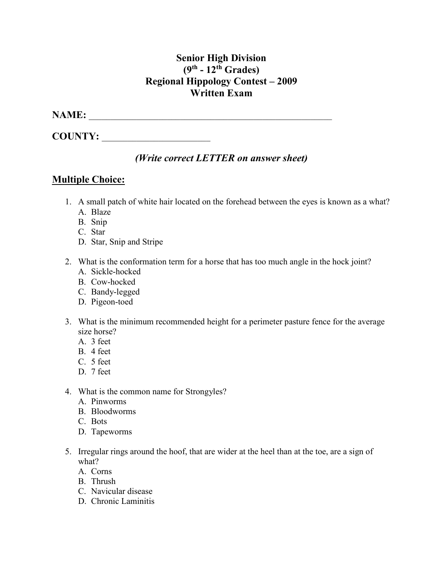## **Senior High Division (9th - 12th Grades) Regional Hippology Contest – 2009 Written Exam**

#### **NAME:** \_\_\_\_\_\_\_\_\_\_\_\_\_\_\_\_\_\_\_\_\_\_\_\_\_\_\_\_\_\_\_\_\_\_\_\_\_\_\_\_\_\_\_\_\_\_\_\_\_\_\_\_\_\_\_\_

**COUNTY:** \_\_\_\_\_\_\_\_\_\_\_\_\_\_\_\_\_\_\_\_\_\_\_\_\_

## *(Write correct LETTER on answer sheet)*

## **Multiple Choice:**

- 1. A small patch of white hair located on the forehead between the eyes is known as a what?
	- A. Blaze
	- B. Snip
	- C. Star
	- D. Star, Snip and Stripe
- 2. What is the conformation term for a horse that has too much angle in the hock joint?
	- A. Sickle-hocked
	- B. Cow-hocked
	- C. Bandy-legged
	- D. Pigeon-toed
- 3. What is the minimum recommended height for a perimeter pasture fence for the average size horse?
	- A. 3 feet
	- B. 4 feet
	- C. 5 feet
	- D. 7 feet
- 4. What is the common name for Strongyles?
	- A. Pinworms
	- B. Bloodworms
	- C. Bots
	- D. Tapeworms
- 5. Irregular rings around the hoof, that are wider at the heel than at the toe, are a sign of what?
	- A. Corns
	- B. Thrush
	- C. Navicular disease
	- D. Chronic Laminitis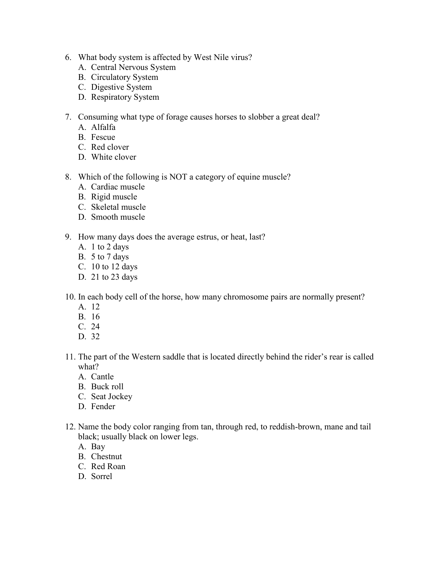- 6. What body system is affected by West Nile virus?
	- A. Central Nervous System
	- B. Circulatory System
	- C. Digestive System
	- D. Respiratory System
- 7. Consuming what type of forage causes horses to slobber a great deal?
	- A. Alfalfa
	- B. Fescue
	- C. Red clover
	- D. White clover
- 8. Which of the following is NOT a category of equine muscle?
	- A. Cardiac muscle
	- B. Rigid muscle
	- C. Skeletal muscle
	- D. Smooth muscle
- 9. How many days does the average estrus, or heat, last?
	- A. 1 to 2 days
	- B. 5 to 7 days
	- C. 10 to 12 days
	- D. 21 to 23 days
- 10. In each body cell of the horse, how many chromosome pairs are normally present?
	- A. 12
	- B. 16
	- C. 24
	- D. 32
- 11. The part of the Western saddle that is located directly behind the rider's rear is called what?
	- A. Cantle
	- B. Buck roll
	- C. Seat Jockey
	- D. Fender
- 12. Name the body color ranging from tan, through red, to reddish-brown, mane and tail black; usually black on lower legs.
	- A. Bay
	- B. Chestnut
	- C. Red Roan
	- D. Sorrel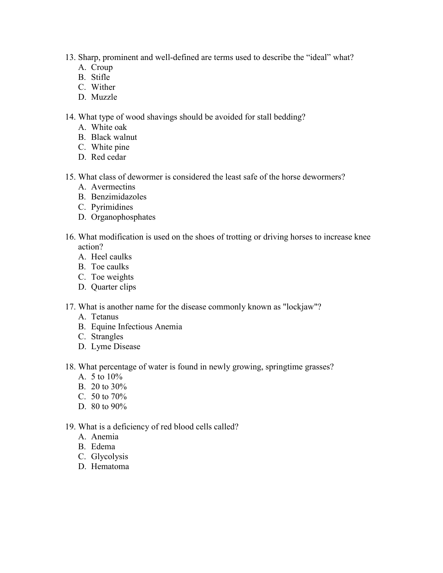- 13. Sharp, prominent and well-defined are terms used to describe the "ideal" what?
	- A. Croup
	- B. Stifle
	- C. Wither
	- D. Muzzle

14. What type of wood shavings should be avoided for stall bedding?

- A. White oak
- B. Black walnut
- C. White pine
- D. Red cedar
- 15. What class of dewormer is considered the least safe of the horse dewormers?
	- A. Avermectins
	- B. Benzimidazoles
	- C. Pyrimidines
	- D. Organophosphates
- 16. What modification is used on the shoes of trotting or driving horses to increase knee action?
	- A. Heel caulks
	- B. Toe caulks
	- C. Toe weights
	- D. Quarter clips
- 17. What is another name for the disease commonly known as "lockjaw"?
	- A. Tetanus
	- B. Equine Infectious Anemia
	- C. Strangles
	- D. Lyme Disease
- 18. What percentage of water is found in newly growing, springtime grasses?
	- A. 5 to 10%
	- B. 20 to 30%
	- C. 50 to 70%
	- D. 80 to 90%
- 19. What is a deficiency of red blood cells called?
	- A. Anemia
	- B. Edema
	- C. Glycolysis
	- D. Hematoma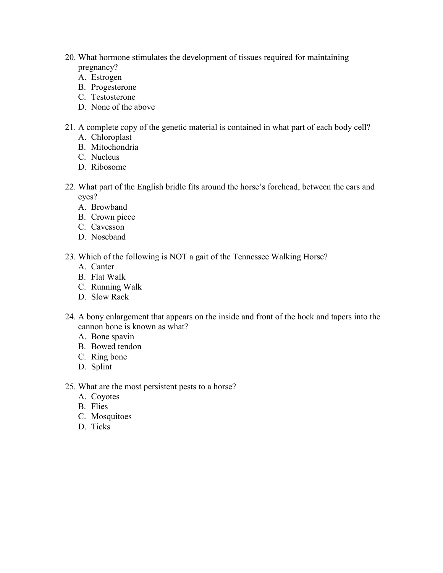- 20. What hormone stimulates the development of tissues required for maintaining pregnancy?
	- A. Estrogen
	- B. Progesterone
	- C. Testosterone
	- D. None of the above
- 21. A complete copy of the genetic material is contained in what part of each body cell?
	- A. Chloroplast
	- B. Mitochondria
	- C. Nucleus
	- D. Ribosome
- 22. What part of the English bridle fits around the horse's forehead, between the ears and eyes?
	- A. Browband
	- B. Crown piece
	- C. Cavesson
	- D. Noseband
- 23. Which of the following is NOT a gait of the Tennessee Walking Horse?
	- A. Canter
	- B. Flat Walk
	- C. Running Walk
	- D. Slow Rack
- 24. A bony enlargement that appears on the inside and front of the hock and tapers into the cannon bone is known as what?
	- A. Bone spavin
	- B. Bowed tendon
	- C. Ring bone
	- D. Splint
- 25. What are the most persistent pests to a horse?
	- A. Coyotes
	- B. Flies
	- C. Mosquitoes
	- D. Ticks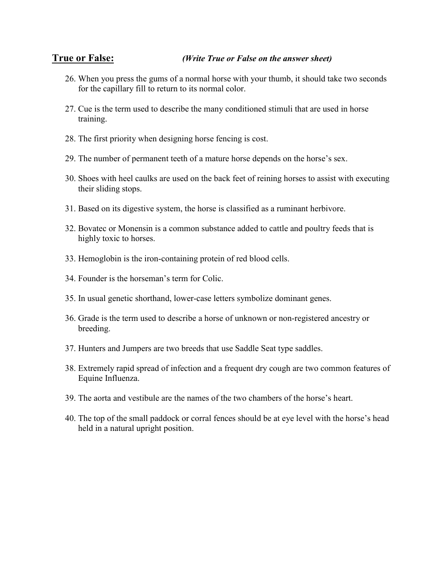#### **True or False:** *(Write True or False on the answer sheet)*

- 26. When you press the gums of a normal horse with your thumb, it should take two seconds for the capillary fill to return to its normal color.
- 27. Cue is the term used to describe the many conditioned stimuli that are used in horse training.
- 28. The first priority when designing horse fencing is cost.
- 29. The number of permanent teeth of a mature horse depends on the horse's sex.
- 30. Shoes with heel caulks are used on the back feet of reining horses to assist with executing their sliding stops.
- 31. Based on its digestive system, the horse is classified as a ruminant herbivore.
- 32. Bovatec or Monensin is a common substance added to cattle and poultry feeds that is highly toxic to horses.
- 33. Hemoglobin is the iron-containing protein of red blood cells.
- 34. Founder is the horseman's term for Colic.
- 35. In usual genetic shorthand, lower-case letters symbolize dominant genes.
- 36. Grade is the term used to describe a horse of unknown or non-registered ancestry or breeding.
- 37. Hunters and Jumpers are two breeds that use Saddle Seat type saddles.
- 38. Extremely rapid spread of infection and a frequent dry cough are two common features of Equine Influenza.
- 39. The aorta and vestibule are the names of the two chambers of the horse's heart.
- 40. The top of the small paddock or corral fences should be at eye level with the horse's head held in a natural upright position.